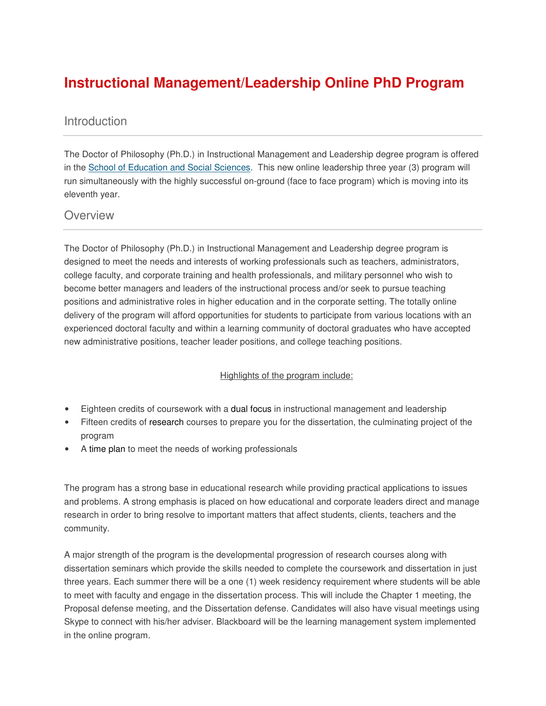## **Instructional Management/Leadership Online PhD Program**

## **Introduction**

The Doctor of Philosophy (Ph.D.) in Instructional Management and Leadership degree program is offered in the School of Education and Social Sciences. This new online leadership three year (3) program will run simultaneously with the highly successful on-ground (face to face program) which is moving into its eleventh year.

## **Overview**

The Doctor of Philosophy (Ph.D.) in Instructional Management and Leadership degree program is designed to meet the needs and interests of working professionals such as teachers, administrators, college faculty, and corporate training and health professionals, and military personnel who wish to become better managers and leaders of the instructional process and/or seek to pursue teaching positions and administrative roles in higher education and in the corporate setting. The totally online delivery of the program will afford opportunities for students to participate from various locations with an experienced doctoral faculty and within a learning community of doctoral graduates who have accepted new administrative positions, teacher leader positions, and college teaching positions.

## Highlights of the program include:

- Eighteen credits of coursework with a dual focus in instructional management and leadership
- Fifteen credits of research courses to prepare you for the dissertation, the culminating project of the program
- A time plan to meet the needs of working professionals

The program has a strong base in educational research while providing practical applications to issues and problems. A strong emphasis is placed on how educational and corporate leaders direct and manage research in order to bring resolve to important matters that affect students, clients, teachers and the community.

A major strength of the program is the developmental progression of research courses along with dissertation seminars which provide the skills needed to complete the coursework and dissertation in just three years. Each summer there will be a one (1) week residency requirement where students will be able to meet with faculty and engage in the dissertation process. This will include the Chapter 1 meeting, the Proposal defense meeting, and the Dissertation defense. Candidates will also have visual meetings using Skype to connect with his/her adviser. Blackboard will be the learning management system implemented in the online program.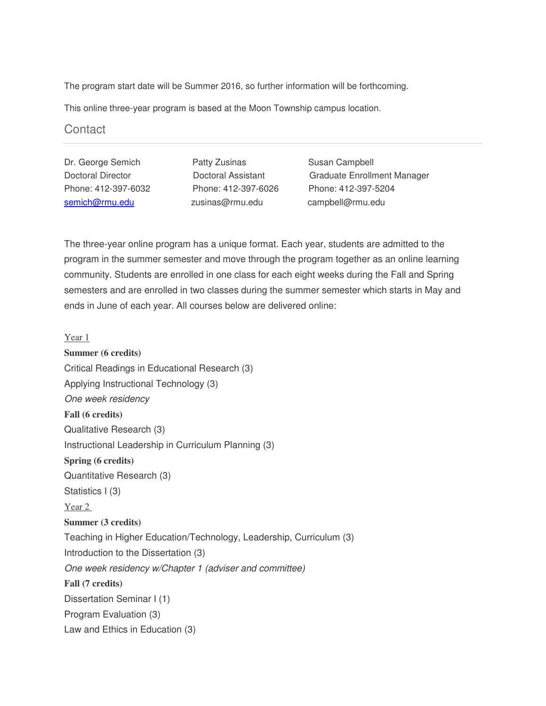The program start date will be Summer 2016, so further information will be forthcoming.

This online three-year program is based at the Moon Township campus location.

**Contact** 

semich@rmu.edu zusinas@rmu.edu campbell@rmu.edu

Dr. George Semich **Patty Zusinas** Susan Campbell

Doctoral Director Doctoral Assistant Graduate Enrollment Manager Phone: 412-397-6032 Phone: 412-397-6026 Phone: 412-397-5204

The three-year online program has a unique format. Each year, students are admitted to the program in the summer semester and move through the program together as an online learning community. Students are enrolled in one class for each eight weeks during the Fall and Spring semesters and are enrolled in two classes during the summer semester which starts in May and ends in June of each year. All courses below are delivered online:

Year 1

**Summer (6 credits)** Critical Readings in Educational Research (3) Applying Instructional Technology (3) *One week residency*  **Fall (6 credits)** Qualitative Research (3) Instructional Leadership in Curriculum Planning (3) **Spring (6 credits)** Quantitative Research (3) Statistics I (3) Year 2 **Summer (3 credits)** Teaching in Higher Education/Technology, Leadership, Curriculum (3) Introduction to the Dissertation (3) *One week residency w/Chapter 1 (adviser and committee)*  **Fall (7 credits)** Dissertation Seminar I (1) Program Evaluation (3) Law and Ethics in Education (3)